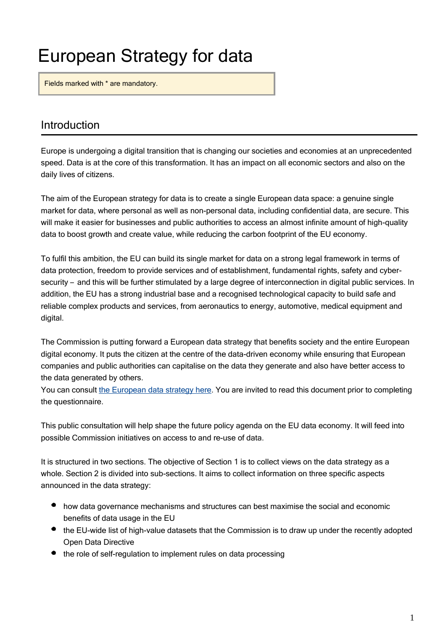# European Strategy for data

Fields marked with \* are mandatory.

# Introduction

Europe is undergoing a digital transition that is changing our societies and economies at an unprecedented speed. Data is at the core of this transformation. It has an impact on all economic sectors and also on the daily lives of citizens.

The aim of the European strategy for data is to create a single European data space: a genuine single market for data, where personal as well as non-personal data, including confidential data, are secure. This will make it easier for businesses and public authorities to access an almost infinite amount of high-quality data to boost growth and create value, while reducing the carbon footprint of the EU economy.

To fulfil this ambition, the EU can build its single market for data on a strong legal framework in terms of data protection, freedom to provide services and of establishment, fundamental rights, safety and cybersecurity – and this will be further stimulated by a large degree of interconnection in digital public services. In addition, the EU has a strong industrial base and a recognised technological capacity to build safe and reliable complex products and services, from aeronautics to energy, automotive, medical equipment and digital.

The Commission is putting forward a European data strategy that benefits society and the entire European digital economy. It puts the citizen at the centre of the data-driven economy while ensuring that European companies and public authorities can capitalise on the data they generate and also have better access to the data generated by others.

You can consult [the European data strategy here.](https://ec.europa.eu/info/strategy/priorities-2019-2024/europe-fit-digital-age/european-data-strategy) You are invited to read this document prior to completing the questionnaire.

This public consultation will help shape the future policy agenda on the EU data economy. It will feed into possible Commission initiatives on access to and re-use of data.

It is structured in two sections. The objective of Section 1 is to collect views on the data strategy as a whole. Section 2 is divided into sub-sections. It aims to collect information on three specific aspects announced in the data strategy:

- how data governance mechanisms and structures can best maximise the social and economic benefits of data usage in the EU
- the EU-wide list of high-value datasets that the Commission is to draw up under the recently adopted Open Data Directive
- the role of self-regulation to implement rules on data processing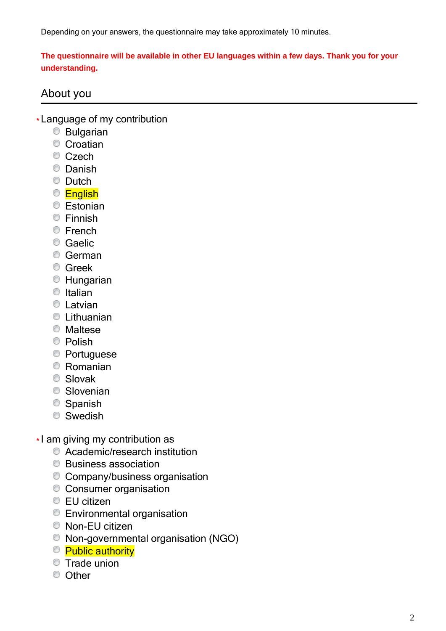Depending on your answers, the questionnaire may take approximately 10 minutes.

**The questionnaire will be available in other EU languages within a few days. Thank you for your understanding.**

# About you

- **\*** Language of my contribution
	- Bulgarian
	- **Croatian**
	- Czech
	- **C** Danish
	- **Dutch**
	- **English**
	- **Estonian**
	- **C** Finnish
	- **E**rench
	- **Caelic**
	- **C** German
	- **C** Greek
	- Hungarian
	- $\bullet$  Italian
	- **C** Latvian
	- **C** Lithuanian
	- **Maltese**
	- **Polish**
	- **Portuguese**
	- Romanian
	- Slovak
	- **Slovenian**
	- **Spanish**
	- **Swedish**
- **\*** I am giving my contribution as
	- Academic/research institution
	- **Business association**
	- Company/business organisation
	- Consumer organisation
	- **EU citizen**
	- **Environmental organisation**
	- Non-EU citizen
	- Non-governmental organisation (NGO)
	- <sup>©</sup> Public authority
	- Trade union
	- **O** Other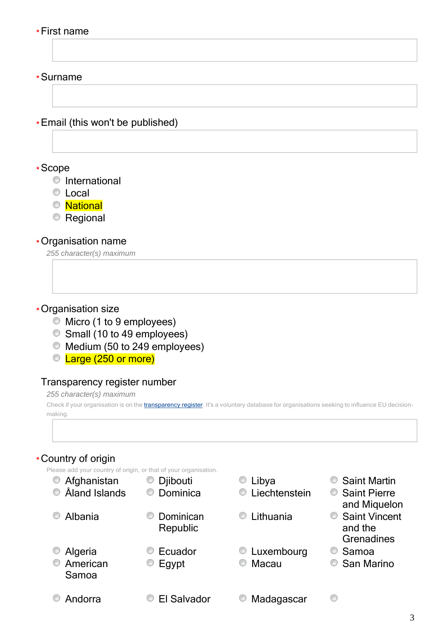#### **\*** First name

**\*** Surname

**\*** Email (this won't be published)

**\*** Scope

- **O** International
- **C** Local
- National
- **Regional**

#### **\*** Organisation name

*255 character(s) maximum*

#### **\*** Organisation size

- Micro (1 to 9 employees)
- Small (10 to 49 employees)
- Medium (50 to 249 employees)
- C Large (250 or more)

#### Transparency register number

*255 character(s) maximum*

Check if your organisation is on the *[transparency](http://ec.europa.eu/transparencyregister/public/homePage.do?redir=false&locale=en) register*. It's a voluntary database for organisations seeking to influence EU decisionmaking.

# **\*** Country of origin

Please add your country of origin, or that of your organisation.

| O<br>Afghanistan<br>Aland Islands | Djibouti<br>Dominica  | Libya<br>Liechtenstein |
|-----------------------------------|-----------------------|------------------------|
| Albania<br>⊙                      | Dominican<br>Republic | Lithuania              |
| Algeria<br>American<br>⊙<br>Samoa | Ecuador<br>Egypt      | Luxembourg<br>Macau    |
| Andorra                           | <b>El Salvador</b>    | Madagascar             |

- **Saint Martin**
- **Saint Pierre** and Miquelon
- **C** Saint Vincent and the **Grenadines**
- $\circ$  Samoa

0

**San Marino**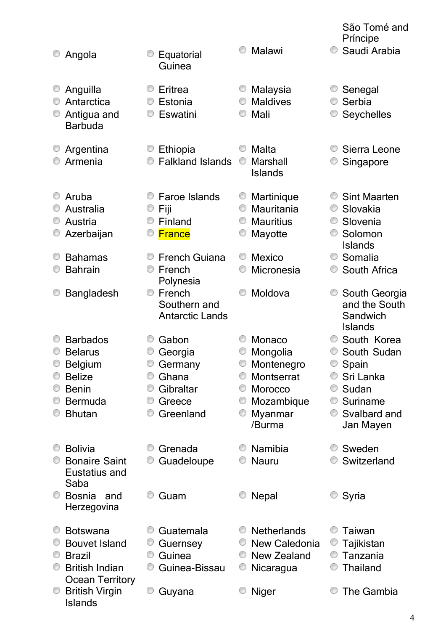|   |                                  |                                        |                                 | São Tomé and<br>Príncipe  |
|---|----------------------------------|----------------------------------------|---------------------------------|---------------------------|
| O | Angola                           | Equatorial<br>Guinea                   | Malawi<br>⊙                     | O<br>Saudi Arabia         |
|   | Anguilla                         | Eritrea                                | Malaysia                        | Senegal                   |
|   | Antarctica                       | Estonia                                | <b>Maldives</b><br>O            | Serbia                    |
|   | Antigua and<br><b>Barbuda</b>    | Eswatini                               | Mali                            | Seychelles                |
|   | Argentina                        | Ethiopia                               | Malta<br>O                      | Sierra Leone              |
|   | Armenia                          | <b>Falkland Islands</b>                | Marshall<br>⊙<br><b>Islands</b> | Singapore                 |
|   | Aruba                            | <b>Faroe Islands</b>                   | Martinique<br>O                 | <b>Sint Maarten</b><br>O  |
|   | Australia                        | Fiji                                   | Mauritania<br>O                 | Slovakia<br>O             |
| O | Austria                          | Finland                                | <b>Mauritius</b><br>O           | Slovenia<br>Solomon       |
|   | Azerbaijan                       | <b>France</b>                          | Mayotte                         | <b>Islands</b>            |
|   | <b>Bahamas</b>                   | <b>French Guiana</b>                   | <b>Mexico</b><br>O              | Somalia<br>O              |
|   | <b>Bahrain</b>                   | French                                 | Micronesia                      | South Africa              |
|   |                                  | Polynesia                              |                                 |                           |
|   | <b>Bangladesh</b>                | O<br>French                            | Moldova<br>O                    | South Georgia             |
|   |                                  | Southern and<br><b>Antarctic Lands</b> |                                 | and the South<br>Sandwich |
|   |                                  |                                        |                                 | <b>Islands</b>            |
|   | <b>Barbados</b>                  | Gabon                                  | Monaco                          | South Korea               |
|   | <b>Belarus</b>                   | Georgia                                | Mongolia                        | South Sudan               |
|   | <b>Belgium</b>                   | Germany                                | Montenegro                      | Spain                     |
|   | <b>Belize</b>                    | Ghana                                  | <b>Montserrat</b><br>O          | Sri Lanka                 |
|   | <b>Benin</b>                     | Gibraltar                              | <b>Morocco</b><br>O             | Sudan                     |
|   | <b>Bermuda</b>                   | Greece                                 | Mozambique                      | Suriname<br>0             |
|   | <b>Bhutan</b>                    | Greenland                              | Myanmar<br>0<br>/Burma          | Svalbard and<br>O         |
|   |                                  |                                        |                                 | Jan Mayen                 |
|   | <b>Bolivia</b>                   | Grenada                                | Namibia                         | Sweden<br>O               |
|   | <b>Bonaire Saint</b>             | Guadeloupe                             | <b>Nauru</b>                    | Switzerland               |
|   | Eustatius and                    |                                        |                                 |                           |
|   | Saba                             |                                        |                                 |                           |
|   | <b>Bosnia</b><br>and             | Guam                                   | <b>Nepal</b>                    | Syria                     |
|   | Herzegovina                      |                                        |                                 |                           |
|   | <b>Botswana</b>                  | Guatemala                              | <b>Netherlands</b><br>O         | Taiwan<br>O               |
|   | <b>Bouvet Island</b>             | Guernsey                               | New Caledonia<br>O              | Tajikistan                |
|   | <b>Brazil</b>                    | Guinea<br>O                            | New Zealand<br>O                | Tanzania                  |
| O | <b>British Indian</b>            | Guinea-Bissau                          | O<br>Nicaragua                  | <b>Thailand</b>           |
|   | <b>Ocean Territory</b>           |                                        |                                 |                           |
|   | <b>British Virgin</b><br>Islands | O<br>Guyana                            | <b>Niger</b>                    | The Gambia                |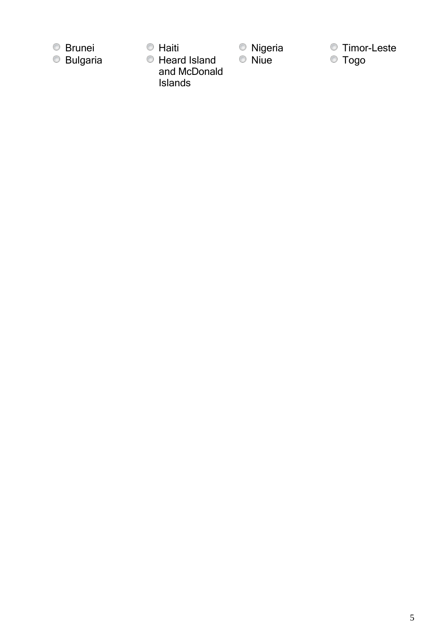

 $\bullet$  Heard Island

and McDonald

Islands

- 
- Brunei Haiti Nigeria Timor-Leste
	- $\circ$  Togo

5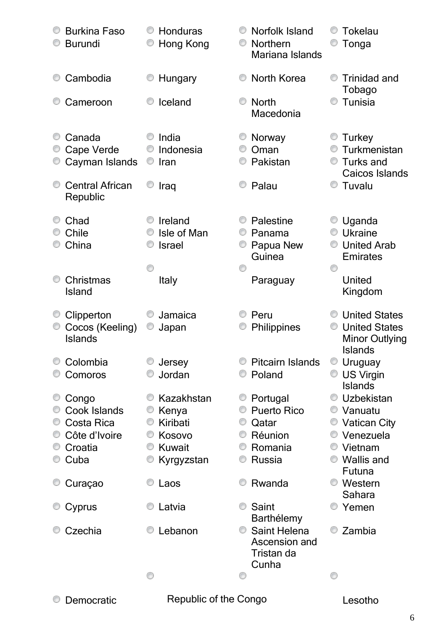| <b>Burkina Faso</b><br><b>Burundi</b>                                             | Honduras<br>Hong Kong                                                                   | Norfolk Island<br><b>Northern</b><br>Mariana Islands                                                  | <b>Tokelau</b><br>Tonga                                                                                                              |
|-----------------------------------------------------------------------------------|-----------------------------------------------------------------------------------------|-------------------------------------------------------------------------------------------------------|--------------------------------------------------------------------------------------------------------------------------------------|
| Cambodia<br>O                                                                     | Hungary                                                                                 | <b>North Korea</b>                                                                                    | <b>Trinidad and</b><br>Tobago                                                                                                        |
| Cameroon                                                                          | Iceland                                                                                 | <b>North</b><br>O<br>Macedonia                                                                        | Tunisia                                                                                                                              |
| Canada<br>Cape Verde<br>Cayman Islands<br><b>Central African</b><br>O<br>Republic | India<br>Indonesia<br>Iran<br>O<br>Iraq                                                 | Norway<br>Oman<br>O<br>Pakistan<br>O<br>Palau                                                         | <b>Turkey</b><br>Turkmenistan<br>Turks and<br>Caicos Islands<br>Tuvalu<br>0                                                          |
| Chad<br>Chile<br>China                                                            | Ireland<br>Isle of Man<br><b>Israel</b>                                                 | Palestine<br>Panama<br>O<br>Papua New<br>Guinea<br>⋒                                                  | Uganda<br><b>Ukraine</b><br><b>United Arab</b><br><b>Emirates</b><br>O                                                               |
| Christmas<br>O<br>Island                                                          | <b>Italy</b>                                                                            | Paraguay                                                                                              | United<br>Kingdom                                                                                                                    |
| Clipperton<br>Cocos (Keeling)<br><b>Islands</b>                                   | Jamaica<br>Japan<br>v                                                                   | Peru<br>Philippines                                                                                   | <b>United States</b><br><b>United States</b><br>0<br><b>Minor Outlying</b><br><b>Islands</b>                                         |
| Colombia<br>Comoros                                                               | Jersey<br>Jordan                                                                        | <b>Pitcairn Islands</b><br>Poland                                                                     | Uruguay<br>US Virgin<br><b>Islands</b>                                                                                               |
| O<br>Congo<br>Cook Islands<br>Costa Rica<br>Côte d'Ivoire<br>Croatia<br>Cuba      | Kazakhstan<br>Kenya<br>Kiribati<br>O<br>Kosovo<br>O<br><b>Kuwait</b><br>O<br>Kyrgyzstan | Portugal<br>O<br><b>Puerto Rico</b><br>O<br>O<br>Qatar<br>Réunion<br>O<br>Romania<br>O<br>Russia<br>O | Uzbekistan<br><sup>●</sup> Vanuatu<br>C Vatican City<br>Venezuela<br>$\circlearrowright$<br>● Vietnam<br><b>Wallis and</b><br>Futuna |
| Curaçao                                                                           | Laos                                                                                    | Rwanda                                                                                                | <b>Western</b><br>Sahara                                                                                                             |
| Cyprus                                                                            | Latvia                                                                                  | O<br>Saint<br>Barthélemy                                                                              | Yemen                                                                                                                                |
| Czechia                                                                           | Lebanon                                                                                 | <b>Saint Helena</b><br>O<br>Ascension and<br>Tristan da<br>Cunha                                      | Zambia                                                                                                                               |
|                                                                                   | ⊙                                                                                       | O                                                                                                     | O                                                                                                                                    |

**Democratic** Republic of the Congo **CONG Lesotho**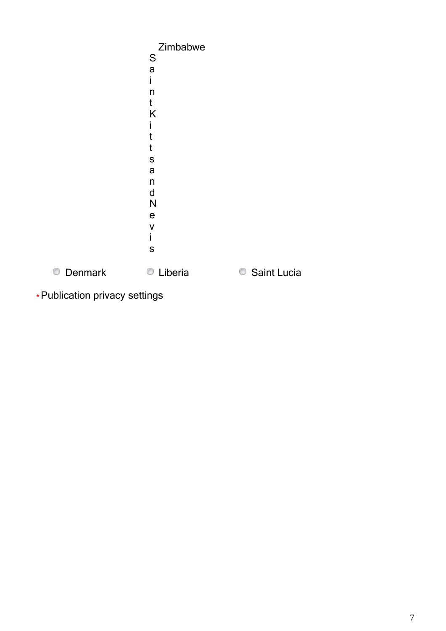|              | Zimbabwe     |             |
|--------------|--------------|-------------|
|              | S            |             |
|              | a            |             |
|              | i.           |             |
|              | n            |             |
|              | t            |             |
|              | K            |             |
|              | I            |             |
|              | t            |             |
|              | t            |             |
|              | S            |             |
|              | a            |             |
|              | n            |             |
|              | $\mathsf{d}$ |             |
|              | N            |             |
|              | ${\bf e}$    |             |
|              | V            |             |
|              | İ.           |             |
|              | ${\sf S}$    |             |
| 0<br>Denmark | Liberia<br>O | Saint Lucia |
|              |              |             |

**\*** Publication privacy settings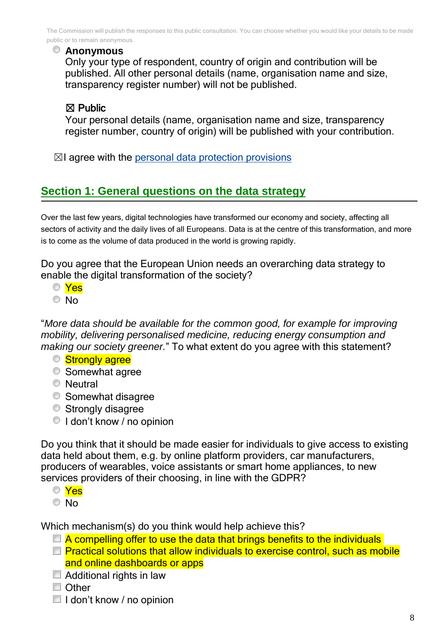The Commission will publish the responses to this public consultation. You can choose whether you would like your details to be made public or to remain anonymous.

#### **Anonymous**

Only your type of respondent, country of origin and contribution will be published. All other personal details (name, organisation name and size, transparency register number) will not be published.

# ☒ Public

Your personal details (name, organisation name and size, transparency register number, country of origin) will be published with your contribution.

 $\boxtimes$ I agree with the [personal data protection provisions](https://ec.europa.eu/info/law/better-regulation/specific-privacy-statement_en)

# **Section 1: General questions on the data strategy**

Over the last few years, digital technologies have transformed our economy and society, affecting all sectors of activity and the daily lives of all Europeans. Data is at the centre of this transformation, and more is to come as the volume of data produced in the world is growing rapidly.

Do you agree that the European Union needs an overarching data strategy to enable the digital transformation of the society?

- Yes
- © No

"*More data should be available for the common good, for example for improving mobility, delivering personalised medicine, reducing energy consumption and*  making our society greener." To what extent do you agree with this statement?

- Strongly agree
- **Somewhat agree**
- **Neutral**
- **Somewhat disagree**
- **Strongly disagree**
- I don't know / no opinion

Do you think that it should be made easier for individuals to give access to existing data held about them, e.g. by online platform providers, car manufacturers, producers of wearables, voice assistants or smart home appliances, to new services providers of their choosing, in line with the GDPR?

Yes

<sup>O</sup>No

Which mechanism(s) do you think would help achieve this?

- $\Box$  A compelling offer to use the data that brings benefits to the individuals
- $\Box$  Practical solutions that allow individuals to exercise control, such as mobile and online dashboards or apps
- Additional rights in law
- Other
- $\blacksquare$  I don't know / no opinion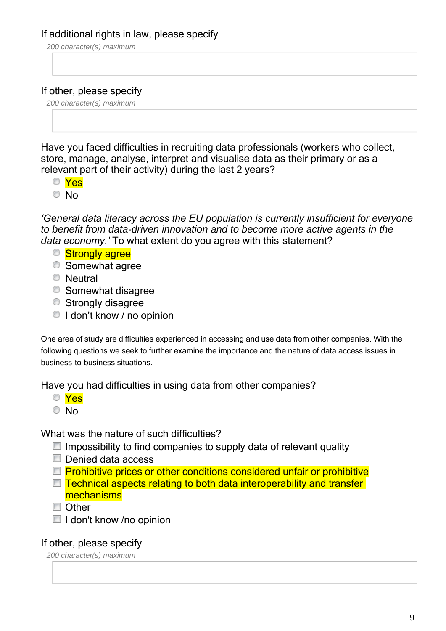# If additional rights in law, please specify

*200 character(s) maximum*

# If other, please specify

*200 character(s) maximum*

Have you faced difficulties in recruiting data professionals (workers who collect, store, manage, analyse, interpret and visualise data as their primary or as a relevant part of their activity) during the last 2 years?

- Yes
- © No

*'General data literacy across the EU population is currently insufficient for everyone to benefit from data-driven innovation and to become more active agents in the data economy.'* To what extent do you agree with this statement?

- **Strongly agree**
- **Somewhat agree**
- **Neutral**
- **Somewhat disagree**
- **Strongly disagree**
- $\bigcirc$  I don't know / no opinion

One area of study are difficulties experienced in accessing and use data from other companies. With the following questions we seek to further examine the importance and the nature of data access issues in business-to-business situations.

Have you had difficulties in using data from other companies?

- Yes
- $\overline{\circ}$  No

What was the nature of such difficulties?

- $\Box$  Impossibility to find companies to supply data of relevant quality
- Denied data access
- $\Box$  Prohibitive prices or other conditions considered unfair or prohibitive
- $\Box$  Technical aspects relating to both data interoperability and transfer mechanisms
- Other
- $\blacksquare$  I don't know /no opinion

# If other, please specify

*200 character(s) maximum*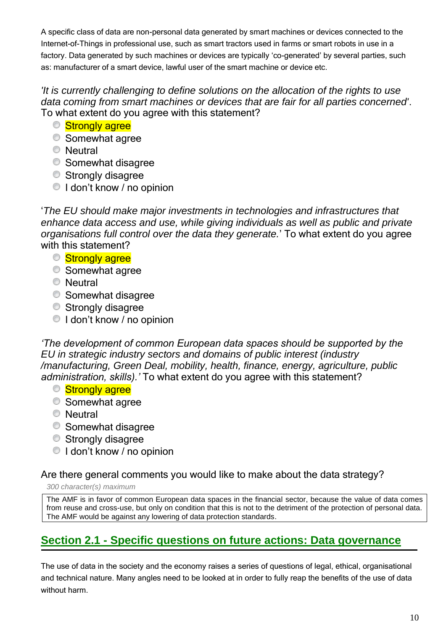A specific class of data are non-personal data generated by smart machines or devices connected to the Internet-of-Things in professional use, such as smart tractors used in farms or smart robots in use in a factory. Data generated by such machines or devices are typically 'co-generated' by several parties, such as: manufacturer of a smart device, lawful user of the smart machine or device etc.

# *'It is currently challenging to define solutions on the allocation of the rights to use data coming from smart machines or devices that are fair for all parties concerned'*. To what extent do you agree with this statement?

- **Strongly agree**
- **Somewhat agree**
- **Neutral**
- **Somewhat disagree**
- Strongly disagree
- I don't know / no opinion

'*The EU should make major investments in technologies and infrastructures that enhance data access and use, while giving individuals as well as public and private organisations full control over the data they generate.*' To what extent do you agree with this statement?

- Strongly agree
- **Somewhat agree**
- **Neutral**
- **Somewhat disagree**
- **Strongly disagree**
- $\bigcirc$  I don't know / no opinion

*'The development of common European data spaces should be supported by the EU in strategic industry sectors and domains of public interest (industry /manufacturing, Green Deal, mobility, health, finance, energy, agriculture, public administration, skills).'* To what extent do you agree with this statement?

- Strongly agree
- **Somewhat agree**
- **Neutral**
- **Somewhat disagree**
- **Strongly disagree**
- <sup>O</sup> I don't know / no opinion

# Are there general comments you would like to make about the data strategy?

*300 character(s) maximum*

The AMF is in favor of common European data spaces in the financial sector, because the value of data comes from reuse and cross-use, but only on condition that this is not to the detriment of the protection of personal data. The AMF would be against any lowering of data protection standards.

# **Section 2.1 - Specific questions on future actions: Data governance**

The use of data in the society and the economy raises a series of questions of legal, ethical, organisational and technical nature. Many angles need to be looked at in order to fully reap the benefits of the use of data without harm.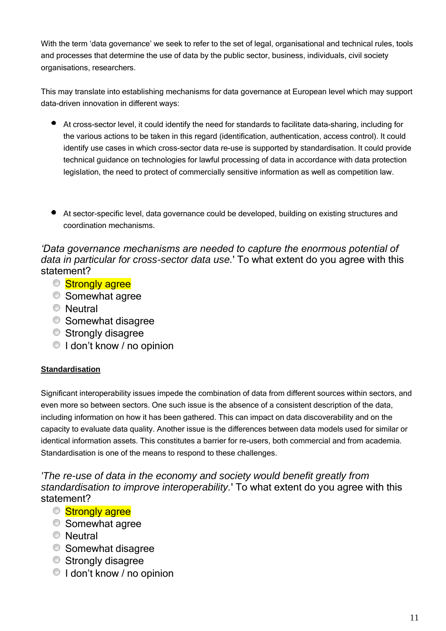With the term 'data governance' we seek to refer to the set of legal, organisational and technical rules, tools and processes that determine the use of data by the public sector, business, individuals, civil society organisations, researchers.

This may translate into establishing mechanisms for data governance at European level which may support data-driven innovation in different ways:

- At cross-sector level, it could identify the need for standards to facilitate data-sharing, including for the various actions to be taken in this regard (identification, authentication, access control). It could identify use cases in which cross-sector data re-use is supported by standardisation. It could provide technical guidance on technologies for lawful processing of data in accordance with data protection legislation, the need to protect of commercially sensitive information as well as competition law.
- At sector-specific level, data governance could be developed, building on existing structures and coordination mechanisms.

*'Data governance mechanisms are needed to capture the enormous potential of data in particular for cross-sector data use.*' To what extent do you agree with this statement?

- Strongly agree
- Somewhat agree
- **Neutral**
- **Somewhat disagree**
- **Strongly disagree**
- $\bigcirc$  I don't know / no opinion

# **Standardisation**

Significant interoperability issues impede the combination of data from different sources within sectors, and even more so between sectors. One such issue is the absence of a consistent description of the data, including information on how it has been gathered. This can impact on data discoverability and on the capacity to evaluate data quality. Another issue is the differences between data models used for similar or identical information assets. This constitutes a barrier for re-users, both commercial and from academia. Standardisation is one of the means to respond to these challenges.

*'The re-use of data in the economy and society would benefit greatly from standardisation to improve interoperability.*' To what extent do you agree with this statement?

- **Strongly agree**
- **Somewhat agree**
- **Neutral**
- **Somewhat disagree**
- **Strongly disagree**
- I don't know / no opinion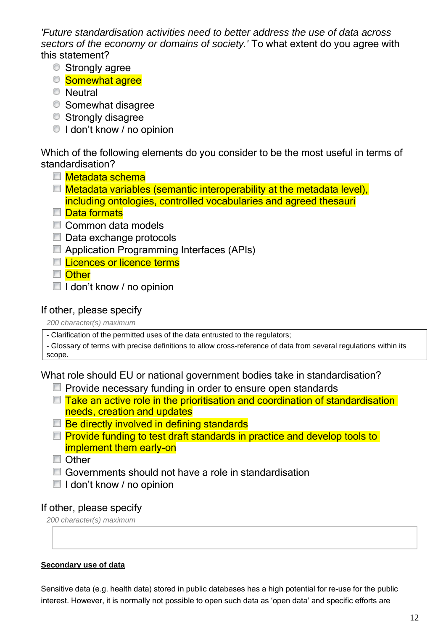*'Future standardisation activities need to better address the use of data across sectors of the economy or domains of society.'* To what extent do you agree with this statement?

- **Strongly agree**
- **Somewhat agree**
- **Neutral**
- **Somewhat disagree**
- **Strongly disagree**
- I don't know / no opinion

Which of the following elements do you consider to be the most useful in terms of standardisation?

- Metadata schema
- **Metadata variables (semantic interoperability at the metadata level),** including ontologies, controlled vocabularies and agreed thesauri
- Data formats
- Common data models
- Data exchange protocols
- **E** Application Programming Interfaces (APIs)
- **□ Licences or licence terms**
- Other
- $\blacksquare$  I don't know / no opinion

#### If other, please specify

*200 character(s) maximum*

- Clarification of the permitted uses of the data entrusted to the regulators;

- Glossary of terms with precise definitions to allow cross-reference of data from several regulations within its scope.

What role should EU or national government bodies take in standardisation?

- $\Box$  Provide necessary funding in order to ensure open standards
- $\Box$  Take an active role in the prioritisation and coordination of standardisation needs, creation and updates
- $\Box$  Be directly involved in defining standards
- $\Box$  Provide funding to test draft standards in practice and develop tools to implement them early-on
- Other
- Governments should not have a role in standardisation
- $\blacksquare$  I don't know / no opinion

#### If other, please specify

*200 character(s) maximum*

#### **Secondary use of data**

Sensitive data (e.g. health data) stored in public databases has a high potential for re-use for the public interest. However, it is normally not possible to open such data as 'open data' and specific efforts are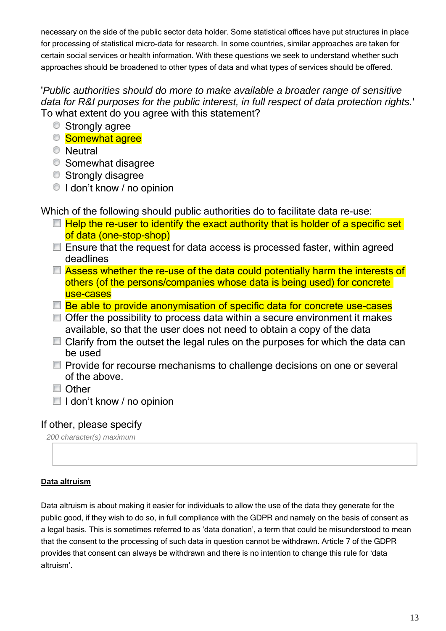necessary on the side of the public sector data holder. Some statistical offices have put structures in place for processing of statistical micro-data for research. In some countries, similar approaches are taken for certain social services or health information. With these questions we seek to understand whether such approaches should be broadened to other types of data and what types of services should be offered.

# '*Public authorities should do more to make available a broader range of sensitive data for R&I purposes for the public interest, in full respect of data protection rights.*' To what extent do you agree with this statement?

- **Strongly agree**
- **Somewhat agree**
- **Neutral**
- **Somewhat disagree**
- Strongly disagree
- I don't know / no opinion

Which of the following should public authorities do to facilitate data re-use:

- $\Box$  Help the re-user to identify the exact authority that is holder of a specific set of data (one-stop-shop)
- $\blacksquare$  Ensure that the request for data access is processed faster, within agreed deadlines
- $\Box$  Assess whether the re-use of the data could potentially harm the interests of others (of the persons/companies whose data is being used) for concrete use-cases
- $\Box$  Be able to provide anonymisation of specific data for concrete use-cases
- $\Box$  Offer the possibility to process data within a secure environment it makes available, so that the user does not need to obtain a copy of the data
- $\Box$  Clarify from the outset the legal rules on the purposes for which the data can be used
- **Provide for recourse mechanisms to challenge decisions on one or several** of the above.
- Other
- $\blacksquare$  I don't know / no opinion

# If other, please specify

*200 character(s) maximum*

#### **Data altruism**

Data altruism is about making it easier for individuals to allow the use of the data they generate for the public good, if they wish to do so, in full compliance with the GDPR and namely on the basis of consent as a legal basis. This is sometimes referred to as 'data donation', a term that could be misunderstood to mean that the consent to the processing of such data in question cannot be withdrawn. Article 7 of the GDPR provides that consent can always be withdrawn and there is no intention to change this rule for 'data altruism'.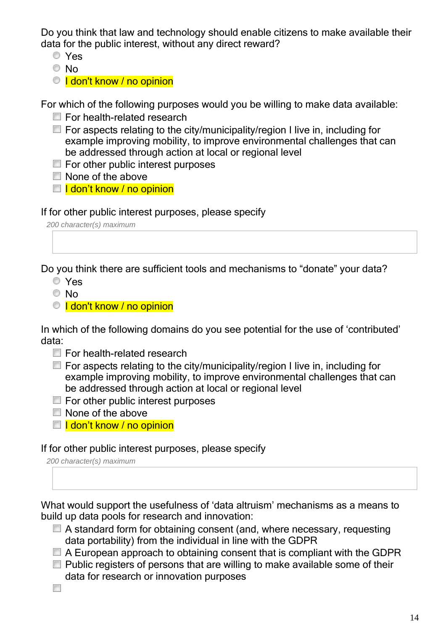Do you think that law and technology should enable citizens to make available their data for the public interest, without any direct reward?

- Yes
- © No
- © I don't know / no opinion

For which of the following purposes would you be willing to make data available:

- **For health-related research**
- $\Box$  For aspects relating to the city/municipality/region I live in, including for example improving mobility, to improve environmental challenges that can be addressed through action at local or regional level
- $\blacksquare$  For other public interest purposes
- $\Box$  None of the above
- $\Box$  **I** don't know / no opinion

If for other public interest purposes, please specify

*200 character(s) maximum*

Do you think there are sufficient tools and mechanisms to "donate" your data?

- Yes
- © No
- © I don't know / no opinion

In which of the following domains do you see potential for the use of 'contributed' data:

- For health-related research
- $\Box$  For aspects relating to the city/municipality/region I live in, including for example improving mobility, to improve environmental challenges that can be addressed through action at local or regional level
- $\blacksquare$  For other public interest purposes
- None of the above
- $\Box$  I don't know / no opinion

#### If for other public interest purposes, please specify

*200 character(s) maximum*

What would support the usefulness of 'data altruism' mechanisms as a means to build up data pools for research and innovation:

- A standard form for obtaining consent (and, where necessary, requesting data portability) from the individual in line with the GDPR
- $\Box$  A European approach to obtaining consent that is compliant with the GDPR
- $\Box$  Public registers of persons that are willing to make available some of their data for research or innovation purposes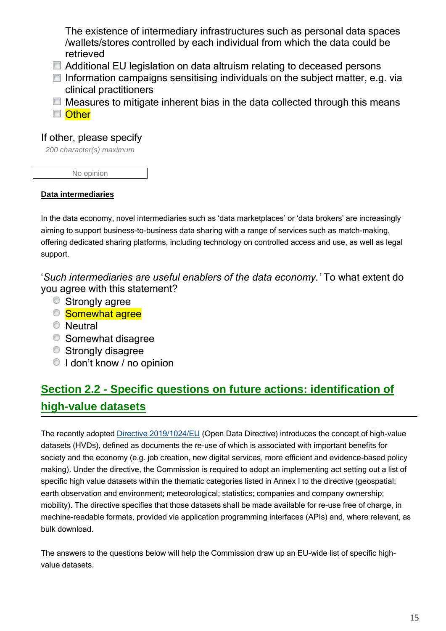The existence of intermediary infrastructures such as personal data spaces /wallets/stores controlled by each individual from which the data could be retrieved

- Additional EU legislation on data altruism relating to deceased persons
- $\Box$  Information campaigns sensitising individuals on the subject matter, e.g. via clinical practitioners
- $\Box$  Measures to mitigate inherent bias in the data collected through this means ■ Other

# If other, please specify

*200 character(s) maximum*

No opinion

#### **Data intermediaries**

In the data economy, novel intermediaries such as 'data marketplaces' or 'data brokers' are increasingly aiming to support business-to-business data sharing with a range of services such as match-making, offering dedicated sharing platforms, including technology on controlled access and use, as well as legal support.

'*Such intermediaries are useful enablers of the data economy.'* To what extent do you agree with this statement?

- **Strongly agree**
- **Somewhat agree**
- **Neutral**
- **Somewhat disagree**
- **Strongly disagree**
- $\bigcirc$  I don't know / no opinion

# **Section 2.2 - Specific questions on future actions: identification of high-value datasets**

The recently adopted [Directive 2019/1024/EU](https://ec.europa.eu/digital-single-market/en/european-legislation-reuse-public-sector-information) (Open Data Directive) introduces the concept of high-value datasets (HVDs), defined as documents the re-use of which is associated with important benefits for society and the economy (e.g. job creation, new digital services, more efficient and evidence-based policy making). Under the directive, the Commission is required to adopt an implementing act setting out a list of specific high value datasets within the thematic categories listed in Annex I to the directive (geospatial; earth observation and environment; meteorological; statistics; companies and company ownership; mobility). The directive specifies that those datasets shall be made available for re-use free of charge, in machine-readable formats, provided via application programming interfaces (APIs) and, where relevant, as bulk download.

The answers to the questions below will help the Commission draw up an EU-wide list of specific highvalue datasets.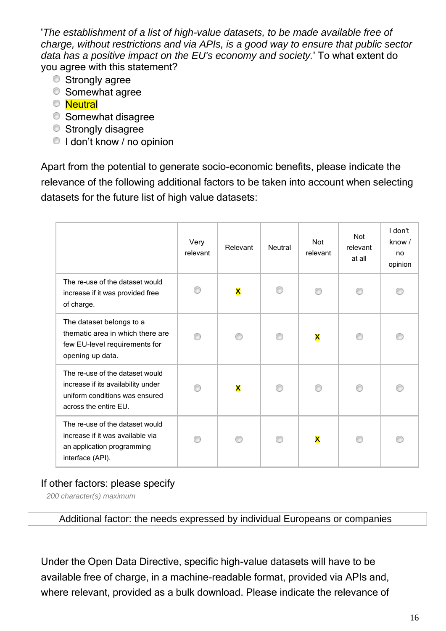'*The establishment of a list of high-value datasets, to be made available free of charge, without restrictions and via APIs, is a good way to ensure that public sector data has a positive impact on the EU's economy and society.*' To what extent do you agree with this statement?

- **Strongly agree**
- **Somewhat agree**
- **O** Neutral
- **Somewhat disagree**
- **Strongly disagree**
- I don't know / no opinion

Apart from the potential to generate socio-economic benefits, please indicate the relevance of the following additional factors to be taken into account when selecting datasets for the future list of high value datasets:

|                                                                                                                                  | Very<br>relevant | Relevant | Neutral | <b>Not</b><br>relevant  | <b>Not</b><br>relevant<br>at all | I don't<br>know $/$<br>no<br>opinion |
|----------------------------------------------------------------------------------------------------------------------------------|------------------|----------|---------|-------------------------|----------------------------------|--------------------------------------|
| The re-use of the dataset would<br>increase if it was provided free<br>of charge.                                                |                  | X        |         |                         |                                  |                                      |
| The dataset belongs to a<br>thematic area in which there are<br>few EU-level requirements for<br>opening up data.                |                  |          |         | $\overline{\mathbf{X}}$ |                                  |                                      |
| The re-use of the dataset would<br>increase if its availability under<br>uniform conditions was ensured<br>across the entire EU. |                  | X        |         |                         |                                  |                                      |
| The re-use of the dataset would<br>increase if it was available via<br>an application programming<br>interface (API).            |                  |          |         | X                       |                                  |                                      |

# If other factors: please specify

*200 character(s) maximum*

Additional factor: the needs expressed by individual Europeans or companies

Under the Open Data Directive, specific high-value datasets will have to be available free of charge, in a machine-readable format, provided via APIs and, where relevant, provided as a bulk download. Please indicate the relevance of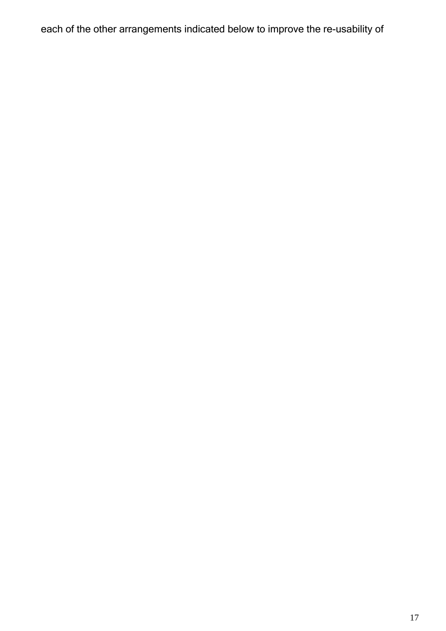each of the other arrangements indicated below to improve the re-usability of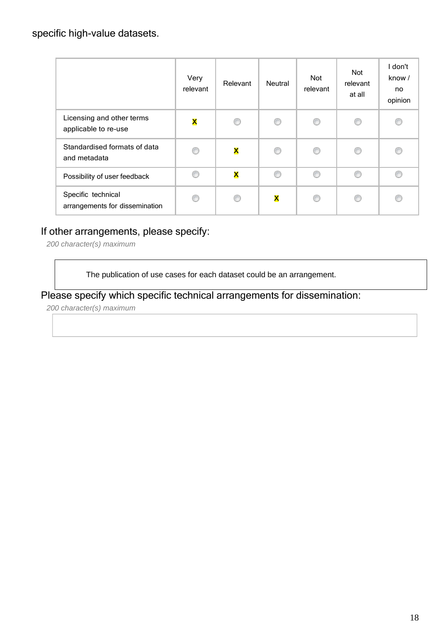|                                                      | Very<br>relevant | Relevant                | Neutral                 | <b>Not</b><br>relevant | <b>Not</b><br>relevant<br>at all | I don't<br>know /<br>no<br>opinion |
|------------------------------------------------------|------------------|-------------------------|-------------------------|------------------------|----------------------------------|------------------------------------|
| Licensing and other terms<br>applicable to re-use    | X                | G                       | ∩                       | ⊙                      | O                                | ⊙                                  |
| Standardised formats of data<br>and metadata         | ∩                | $\overline{\mathsf{x}}$ | ⊙                       | ⊙                      | ∩                                |                                    |
| Possibility of user feedback                         | €                | $\overline{\mathsf{x}}$ | ∩                       | ⊙                      | ⊙                                | C                                  |
| Specific technical<br>arrangements for dissemination | ⋒                | C                       | $\overline{\mathsf{x}}$ | ∩                      | €                                | €                                  |

# If other arrangements, please specify:

*200 character(s) maximum*

The publication of use cases for each dataset could be an arrangement.

Please specify which specific technical arrangements for dissemination:

*200 character(s) maximum*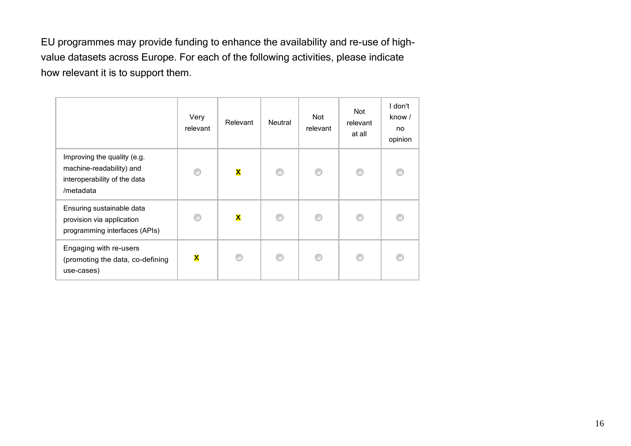EU programmes may provide funding to enhance the availability and re-use of highvalue datasets across Europe. For each of the following activities, please indicate how relevant it is to support them.

|                                                                                                      | Very<br>relevant | Relevant    | Neutral | <b>Not</b><br>relevant | Not<br>relevant<br>at all | I don't<br>know /<br>no<br>opinion |
|------------------------------------------------------------------------------------------------------|------------------|-------------|---------|------------------------|---------------------------|------------------------------------|
| Improving the quality (e.g.<br>machine-readability) and<br>interoperability of the data<br>/metadata | ⋒                | X           | ⊙       | 0                      | ⊙                         | €                                  |
| Ensuring sustainable data<br>provision via application<br>programming interfaces (APIs)              |                  | $\mathbf x$ | ∩       | ∩                      | €                         |                                    |
| Engaging with re-users<br>(promoting the data, co-defining<br>use-cases)                             | X                | ⋒           | ∩       | ∩                      | €                         |                                    |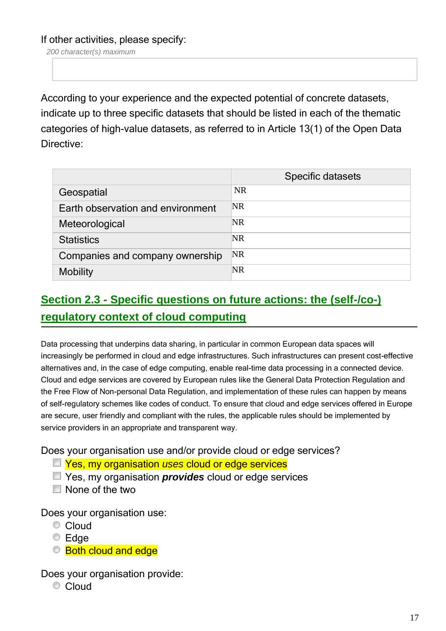If other activities, please specify:

*200 character(s) maximum*

According to your experience and the expected potential of concrete datasets, indicate up to three specific datasets that should be listed in each of the thematic categories of high-value datasets, as referred to in Article 13(1) of the Open Data Directive:

|                                   | Specific datasets |
|-----------------------------------|-------------------|
| Geospatial                        | <b>NR</b>         |
| Earth observation and environment | NR                |
| Meteorological                    | <b>NR</b>         |
| <b>Statistics</b>                 | NR                |
| Companies and company ownership   | <b>NR</b>         |
| <b>Mobility</b>                   | NR                |

# **Section 2.3 - Specific questions on future actions: the (self-/co-) regulatory context of cloud computing**

Data processing that underpins data sharing, in particular in common European data spaces will increasingly be performed in cloud and edge infrastructures. Such infrastructures can present cost-effective alternatives and, in the case of edge computing, enable real-time data processing in a connected device. Cloud and edge services are covered by European rules like the General Data Protection Regulation and the Free Flow of Non-personal Data Regulation, and implementation of these rules can happen by means of self-regulatory schemes like codes of conduct. To ensure that cloud and edge services offered in Europe are secure, user friendly and compliant with the rules, the applicable rules should be implemented by service providers in an appropriate and transparent way.

Does your organisation use and/or provide cloud or edge services?

- Yes, my organisation *uses* cloud or edge services
- Yes, my organisation *provides* cloud or edge services
- None of the two

Does your organisation use:

- Cloud
- $\odot$  Edge
- Both cloud and edge

Does your organisation provide:

Cloud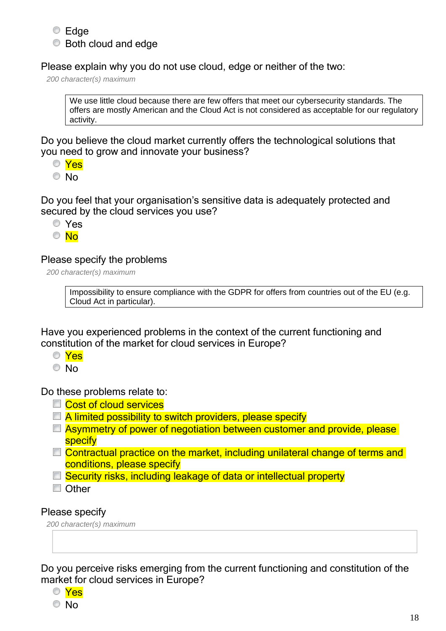# **■** Edge **■** Both cloud and edge

Please explain why you do not use cloud, edge or neither of the two:

*200 character(s) maximum*

We use little cloud because there are few offers that meet our cybersecurity standards. The offers are mostly American and the Cloud Act is not considered as acceptable for our regulatory activity.

Do you believe the cloud market currently offers the technological solutions that you need to grow and innovate your business?

Yes

© No

Do you feel that your organisation's sensitive data is adequately protected and secured by the cloud services you use?

Yes

 $\circ$  No

#### Please specify the problems

*200 character(s) maximum*

Impossibility to ensure compliance with the GDPR for offers from countries out of the EU (e.g. Cloud Act in particular).

Have you experienced problems in the context of the current functioning and constitution of the market for cloud services in Europe?

- Yes
- © No

Do these problems relate to:

- **Cost of cloud services**
- $\Box$  A limited possibility to switch providers, please specify
- Asymmetry of power of negotiation between customer and provide, please specify
- □ Contractual practice on the market, including unilateral change of terms and conditions, please specify
- □ Security risks, including leakage of data or intellectual property

**Other** 

#### Please specify

*200 character(s) maximum*

Do you perceive risks emerging from the current functioning and constitution of the market for cloud services in Europe?



18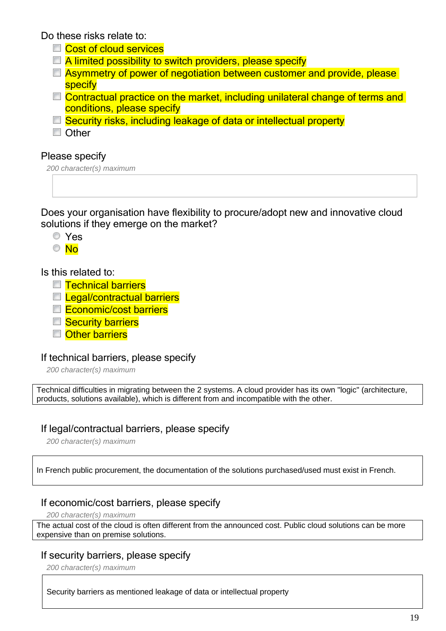Do these risks relate to:

- **Cost of cloud services**
- **A limited possibility to switch providers, please specify**
- **E** Asymmetry of power of negotiation between customer and provide, please **specify**
- $\Box$  Contractual practice on the market, including unilateral change of terms and conditions, please specify
- □ Security risks, including leakage of data or intellectual property

**Other** 

#### Please specify

*200 character(s) maximum*

Does your organisation have flexibility to procure/adopt new and innovative cloud solutions if they emerge on the market?

Yes

 $\circ$  No

#### Is this related to:

- **□ Technical barriers**
- **□ Legal/contractual barriers**
- Economic/cost barriers
- **Security barriers**
- **D** Other barriers

# If technical barriers, please specify

*200 character(s) maximum*

Technical difficulties in migrating between the 2 systems. A cloud provider has its own "logic" (architecture, products, solutions available), which is different from and incompatible with the other.

# If legal/contractual barriers, please specify

*200 character(s) maximum*

In French public procurement, the documentation of the solutions purchased/used must exist in French.

# If economic/cost barriers, please specify

*200 character(s) maximum*

The actual cost of the cloud is often different from the announced cost. Public cloud solutions can be more expensive than on premise solutions.

# If security barriers, please specify

*200 character(s) maximum*

Security barriers as mentioned leakage of data or intellectual property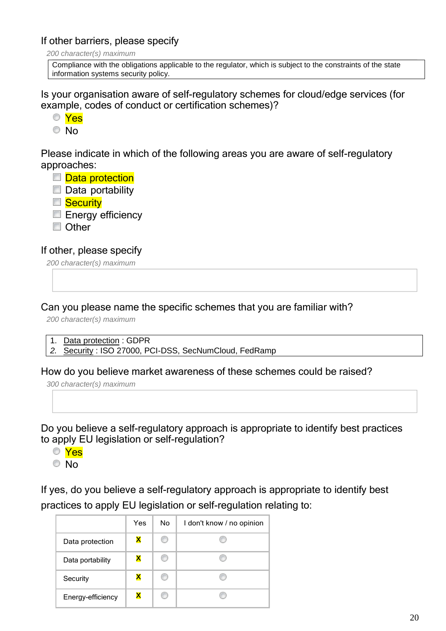#### If other barriers, please specify

*200 character(s) maximum*

Compliance with the obligations applicable to the regulator, which is subject to the constraints of the state information systems security policy.

Is your organisation aware of self-regulatory schemes for cloud/edge services (for example, codes of conduct or certification schemes)?

- Yes
- <sup>O</sup>No

Please indicate in which of the following areas you are aware of self-regulatory approaches:

- Data protection
- $\Box$  Data portability
- **Security**
- $\blacksquare$  Energy efficiency
- **Other**

#### If other, please specify

*200 character(s) maximum*

Can you please name the specific schemes that you are familiar with?

*200 character(s) maximum*

- 1. Data protection : GDPR
- *2.* Security : ISO 27000, PCI-DSS, SecNumCloud, FedRamp

#### How do you believe market awareness of these schemes could be raised?

*300 character(s) maximum*

Do you believe a self-regulatory approach is appropriate to identify best practices to apply EU legislation or self-regulation?

- Yes
- © No

If yes, do you believe a self-regulatory approach is appropriate to identify best practices to apply EU legislation or self-regulation relating to:

|                   | Yes | No. | I don't know / no opinion |
|-------------------|-----|-----|---------------------------|
| Data protection   | X   | ⊙   |                           |
| Data portability  | x   | ⊙   |                           |
| Security          |     | ⊙   | œ                         |
| Energy-efficiency |     | ⋒   |                           |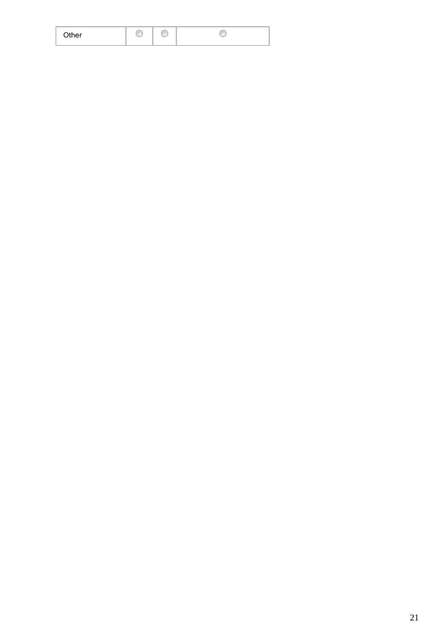| Other |  |  |  |  |  |
|-------|--|--|--|--|--|
|-------|--|--|--|--|--|